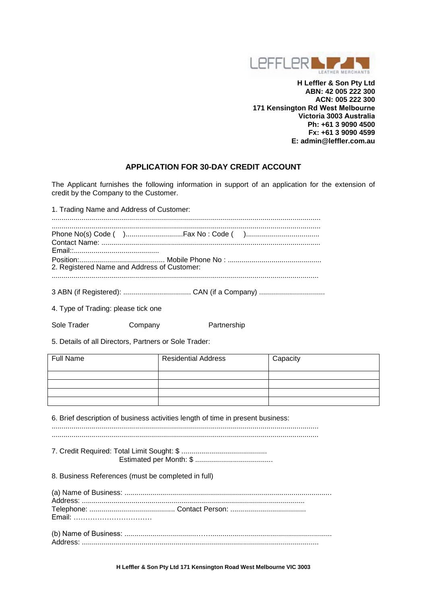

**H Leffler & Son Pty Ltd ABN: 42 005 222 300 ACN: 005 222 300 171 Kensington Rd West Melbourne Victoria 3003 Australia Ph: +61 3 9090 4500 Fx: +61 3 9090 4599 E: admin@leffler.com.au** 

# **APPLICATION FOR 30-DAY CREDIT ACCOUNT**

The Applicant furnishes the following information in support of an application for the extension of credit by the Company to the Customer.

1. Trading Name and Address of Customer:

| 2. Registered Name and Address of Customer: |  |
|---------------------------------------------|--|
|                                             |  |

3 ABN (if Registered): .................................. CAN (if a Company) .................................

4. Type of Trading: please tick one

Sole Trader Company Partnership

5. Details of all Directors, Partners or Sole Trader:

| <b>Full Name</b> | <b>Residential Address</b> | Capacity |
|------------------|----------------------------|----------|
|                  |                            |          |
|                  |                            |          |
|                  |                            |          |
|                  |                            |          |

6. Brief description of business activities length of time in present business:

...................................................................................................................................... ......................................................................................................................................

7. Credit Required: Total Limit Sought: \$ ........................................... Estimated per Month: \$ .......................................

8. Business References (must be completed in full)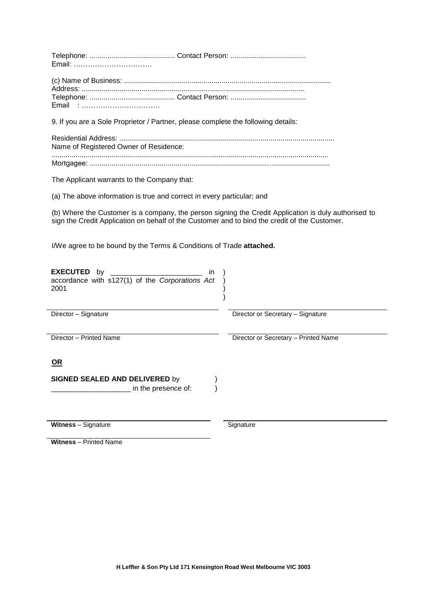9. If you are a Sole Proprietor / Partner, please complete the following details:

| Name of Registered Owner of Residence: |
|----------------------------------------|
|                                        |

The Applicant warrants to the Company that:

(a) The above information is true and correct in every particular; and

(b) Where the Customer is a company, the person signing the Credit Application is duly authorised to sign the Credit Application on behalf of the Customer and to bind the credit of the Customer.

I/We agree to be bound by the Terms & Conditions of Trade **attached.** 

| in<br><b>EXECUTED</b> by<br>accordance with s127(1) of the Corporations Act<br>2001 |                                      |
|-------------------------------------------------------------------------------------|--------------------------------------|
| Director - Signature                                                                | Director or Secretary - Signature    |
| Director - Printed Name                                                             | Director or Secretary - Printed Name |
| <u>OR</u>                                                                           |                                      |
| <b>SIGNED SEALED AND DELIVERED by</b>                                               |                                      |
| in the presence of:                                                                 |                                      |
|                                                                                     |                                      |

**Witness** – Signature **Signature Signature** Signature

**Witness** – Printed Name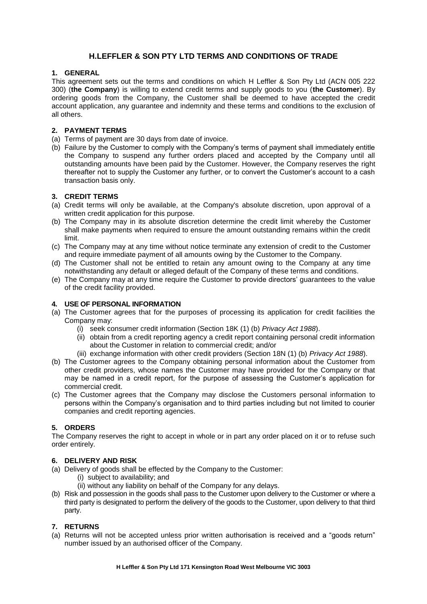# **H.LEFFLER & SON PTY LTD TERMS AND CONDITIONS OF TRADE**

# **1. GENERAL**

This agreement sets out the terms and conditions on which H Leffler & Son Pty Ltd (ACN 005 222 300) (**the Company**) is willing to extend credit terms and supply goods to you (**the Customer**). By ordering goods from the Company, the Customer shall be deemed to have accepted the credit account application, any guarantee and indemnity and these terms and conditions to the exclusion of all others.

### **2. PAYMENT TERMS**

- (a) Terms of payment are 30 days from date of invoice.
- (b) Failure by the Customer to comply with the Company's terms of payment shall immediately entitle the Company to suspend any further orders placed and accepted by the Company until all outstanding amounts have been paid by the Customer. However, the Company reserves the right thereafter not to supply the Customer any further, or to convert the Customer's account to a cash transaction basis only.

#### **3. CREDIT TERMS**

- (a) Credit terms will only be available, at the Company's absolute discretion, upon approval of a written credit application for this purpose.
- (b) The Company may in its absolute discretion determine the credit limit whereby the Customer shall make payments when required to ensure the amount outstanding remains within the credit limit.
- (c) The Company may at any time without notice terminate any extension of credit to the Customer and require immediate payment of all amounts owing by the Customer to the Company.
- (d) The Customer shall not be entitled to retain any amount owing to the Company at any time notwithstanding any default or alleged default of the Company of these terms and conditions.
- (e) The Company may at any time require the Customer to provide directors' guarantees to the value of the credit facility provided.

#### **4. USE OF PERSONAL INFORMATION**

- (a) The Customer agrees that for the purposes of processing its application for credit facilities the Company may:
	- (i) seek consumer credit information (Section 18K (1) (b) *Privacy Act 1988*).
	- (ii) obtain from a credit reporting agency a credit report containing personal credit information about the Customer in relation to commercial credit; and/or
	- (iii) exchange information with other credit providers (Section 18N (1) (b) *Privacy Act 1988*).
- (b) The Customer agrees to the Company obtaining personal information about the Customer from other credit providers, whose names the Customer may have provided for the Company or that may be named in a credit report, for the purpose of assessing the Customer's application for commercial credit.
- (c) The Customer agrees that the Company may disclose the Customers personal information to persons within the Company's organisation and to third parties including but not limited to courier companies and credit reporting agencies.

# **5. ORDERS**

The Company reserves the right to accept in whole or in part any order placed on it or to refuse such order entirely.

# **6. DELIVERY AND RISK**

- (a) Delivery of goods shall be effected by the Company to the Customer:
	- (i) subject to availability; and
	- (ii) without any liability on behalf of the Company for any delays.
- (b) Risk and possession in the goods shall pass to the Customer upon delivery to the Customer or where a third party is designated to perform the delivery of the goods to the Customer, upon delivery to that third party.

# **7. RETURNS**

(a) Returns will not be accepted unless prior written authorisation is received and a "goods return" number issued by an authorised officer of the Company.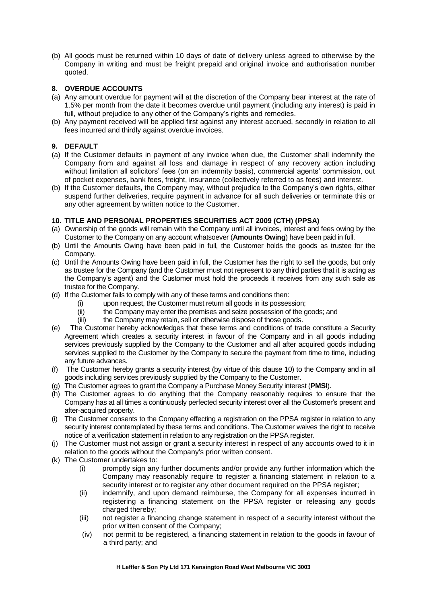(b) All goods must be returned within 10 days of date of delivery unless agreed to otherwise by the Company in writing and must be freight prepaid and original invoice and authorisation number quoted.

# **8. OVERDUE ACCOUNTS**

- (a) Any amount overdue for payment will at the discretion of the Company bear interest at the rate of 1.5% per month from the date it becomes overdue until payment (including any interest) is paid in full, without prejudice to any other of the Company's rights and remedies.
- (b) Any payment received will be applied first against any interest accrued, secondly in relation to all fees incurred and thirdly against overdue invoices.

# **9. DEFAULT**

- (a) If the Customer defaults in payment of any invoice when due, the Customer shall indemnify the Company from and against all loss and damage in respect of any recovery action including without limitation all solicitors' fees (on an indemnity basis), commercial agents' commission, out of pocket expenses, bank fees, freight, insurance (collectively referred to as fees) and interest.
- (b) If the Customer defaults, the Company may, without prejudice to the Company's own rights, either suspend further deliveries, require payment in advance for all such deliveries or terminate this or any other agreement by written notice to the Customer.

# **10. TITLE AND PERSONAL PROPERTIES SECURITIES ACT 2009 (CTH) (PPSA)**

- (a) Ownership of the goods will remain with the Company until all invoices, interest and fees owing by the Customer to the Company on any account whatsoever (**Amounts Owing**) have been paid in full.
- (b) Until the Amounts Owing have been paid in full, the Customer holds the goods as trustee for the Company.
- (c) Until the Amounts Owing have been paid in full, the Customer has the right to sell the goods, but only as trustee for the Company (and the Customer must not represent to any third parties that it is acting as the Company's agent) and the Customer must hold the proceeds it receives from any such sale as trustee for the Company.
- (d) If the Customer fails to comply with any of these terms and conditions then:
	- (i) upon request, the Customer must return all goods in its possession;
	- (ii) the Company may enter the premises and seize possession of the goods; and
	- (iii) the Company may retain, sell or otherwise dispose of those goods.
- (e) The Customer hereby acknowledges that these terms and conditions of trade constitute a Security Agreement which creates a security interest in favour of the Company and in all goods including services previously supplied by the Company to the Customer and all after acquired goods including services supplied to the Customer by the Company to secure the payment from time to time, including any future advances.
- (f) The Customer hereby grants a security interest (by virtue of this clause 10) to the Company and in all goods including services previously supplied by the Company to the Customer.
- (g) The Customer agrees to grant the Company a Purchase Money Security interest (**PMSI**).
- (h) The Customer agrees to do anything that the Company reasonably requires to ensure that the Company has at all times a continuously perfected security interest over all the Customer's present and after-acquired property.
- (i) The Customer consents to the Company effecting a registration on the PPSA register in relation to any security interest contemplated by these terms and conditions. The Customer waives the right to receive notice of a verification statement in relation to any registration on the PPSA register.
- (j) The Customer must not assign or grant a security interest in respect of any accounts owed to it in relation to the goods without the Company's prior written consent.
- (k) The Customer undertakes to:
	- (i) promptly sign any further documents and/or provide any further information which the Company may reasonably require to register a financing statement in relation to a security interest or to register any other document required on the PPSA register;
	- (ii) indemnify, and upon demand reimburse, the Company for all expenses incurred in registering a financing statement on the PPSA register or releasing any goods charged thereby:
	- (iii) not register a financing change statement in respect of a security interest without the prior written consent of the Company;
	- (iv) not permit to be registered, a financing statement in relation to the goods in favour of a third party; and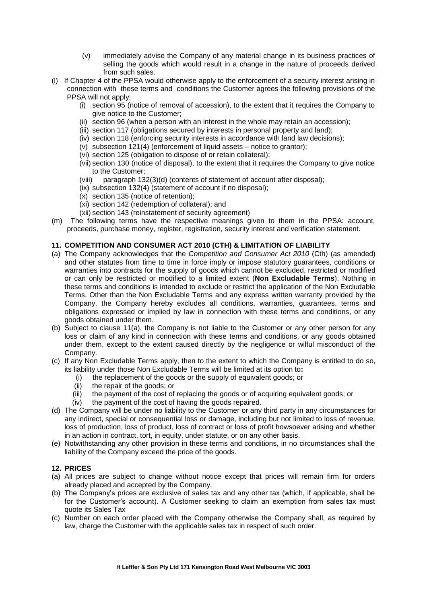- (v) immediately advise the Company of any material change in its business practices of selling the goods which would result in a change in the nature of proceeds derived from such sales.
- (l) If Chapter 4 of the PPSA would otherwise apply to the enforcement of a security interest arising in connection with these terms and conditions the Customer agrees the following provisions of the PPSA will not apply:
	- (i) section 95 (notice of removal of accession), to the extent that it requires the Company to give notice to the Customer;
	- (ii) section 96 (when a person with an interest in the whole may retain an accession);
	- (iii) section 117 (obligations secured by interests in personal property and land);
	- (iv) section 118 (enforcing security interests in accordance with land law decisions);
	- (v) subsection 121(4) (enforcement of liquid assets notice to grantor);
	- (vi) section 125 (obligation to dispose of or retain collateral);
	- (vii) section 130 (notice of disposal), to the extent that it requires the Company to give notice to the Customer;
	- (viii) paragraph 132(3)(d) (contents of statement of account after disposal);
	- (ix) subsection 132(4) (statement of account if no disposal);
	- (x) section 135 (notice of retention);
	- (xi) section 142 (redemption of collateral); and
	- (xii) section 143 (reinstatement of security agreement)
- (m) The following terms have the respective meanings given to them in the PPSA: account, proceeds, purchase money, register, registration, security interest and verification statement.

#### **11. COMPETITION AND CONSUMER ACT 2010 (CTH) & LIMITATION OF LIABILITY**

- (a) The Company acknowledges that the *Competition and Consumer Act 2010* (Cth) (as amended) and other statutes from time to time in force imply or impose statutory guarantees, conditions or warranties into contracts for the supply of goods which cannot be excluded, restricted or modified or can only be restricted or modified to a limited extent (**Non Excludable Terms**). Nothing in these terms and conditions is intended to exclude or restrict the application of the Non Excludable Terms. Other than the Non Excludable Terms and any express written warranty provided by the Company, the Company hereby excludes all conditions, warranties, guarantees, terms and obligations expressed or implied by law in connection with these terms and conditions, or any goods obtained under them.
- (b) Subject to clause 11(a), the Company is not liable to the Customer or any other person for any loss or claim of any kind in connection with these terms and conditions, or any goods obtained under them, except to the extent caused directly by the negligence or wilful misconduct of the Company.
- (c) If any Non Excludable Terms apply, then to the extent to which the Company is entitled to do so, its liability under those Non Excludable Terms will be limited at its option to**:** 
	- (i) the replacement of the goods or the supply of equivalent goods; or
	- (ii) the repair of the goods; or
	- (iii) the payment of the cost of replacing the goods or of acquiring equivalent goods; or
	- (iv) the payment of the cost of having the goods repaired.
- (d) The Company will be under no liability to the Customer or any third party in any circumstances for any indirect, special or consequential loss or damage, including but not limited to loss of revenue, loss of production, loss of product, loss of contract or loss of profit howsoever arising and whether in an action in contract, tort, in equity, under statute, or on any other basis.
- (e) Notwithstanding any other provision in these terms and conditions, in no circumstances shall the liability of the Company exceed the price of the goods.

# **12. PRICES**

- (a) All prices are subject to change without notice except that prices will remain firm for orders already placed and accepted by the Company.
- (b) The Company's prices are exclusive of sales tax and any other tax (which, if applicable, shall be for the Customer's account). A Customer seeking to claim an exemption from sales tax must quote its Sales Tax
- (c) Number on each order placed with the Company otherwise the Company shall, as required by law, charge the Customer with the applicable sales tax in respect of such order.